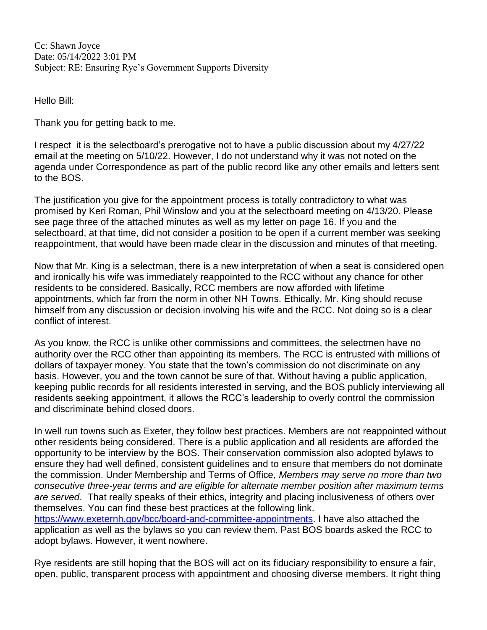Cc: Shawn Joyce Date: 05/14/2022 3:01 PM Subject: RE: Ensuring Rye's Government Supports Diversity

Hello Bill:

Thank you for getting back to me.

I respect it is the selectboard's prerogative not to have a public discussion about my 4/27/22 email at the meeting on 5/10/22. However, I do not understand why it was not noted on the agenda under Correspondence as part of the public record like any other emails and letters sent to the BOS.

The justification you give for the appointment process is totally contradictory to what was promised by Keri Roman, Phil Winslow and you at the selectboard meeting on 4/13/20. Please see page three of the attached minutes as well as my letter on page 16. If you and the selectboard, at that time, did not consider a position to be open if a current member was seeking reappointment, that would have been made clear in the discussion and minutes of that meeting.

Now that Mr. King is a selectman, there is a new interpretation of when a seat is considered open and ironically his wife was immediately reappointed to the RCC without any chance for other residents to be considered. Basically, RCC members are now afforded with lifetime appointments, which far from the norm in other NH Towns. Ethically, Mr. King should recuse himself from any discussion or decision involving his wife and the RCC. Not doing so is a clear conflict of interest.

As you know, the RCC is unlike other commissions and committees, the selectmen have no authority over the RCC other than appointing its members. The RCC is entrusted with millions of dollars of taxpayer money. You state that the town's commission do not discriminate on any basis. However, you and the town cannot be sure of that. Without having a public application, keeping public records for all residents interested in serving, and the BOS publicly interviewing all residents seeking appointment, it allows the RCC's leadership to overly control the commission and discriminate behind closed doors.

In well run towns such as Exeter, they follow best practices. Members are not reappointed without other residents being considered. There is a public application and all residents are afforded the opportunity to be interview by the BOS. Their conservation commission also adopted bylaws to ensure they had well defined, consistent guidelines and to ensure that members do not dominate the commission. Under Membership and Terms of Office, *Members may serve no more than two consecutive three-year terms and are eligible for alternate member position after maximum terms are served*. That really speaks of their ethics, integrity and placing inclusiveness of others over themselves. You can find these best practices at the following link. [https://www.exeternh.gov/bcc/board-and-committee-appointments.](https://www.exeternh.gov/bcc/board-and-committee-appointments) I have also attached the

application as well as the bylaws so you can review them. Past BOS boards asked the RCC to adopt bylaws. However, it went nowhere.

Rye residents are still hoping that the BOS will act on its fiduciary responsibility to ensure a fair, open, public, transparent process with appointment and choosing diverse members. It right thing